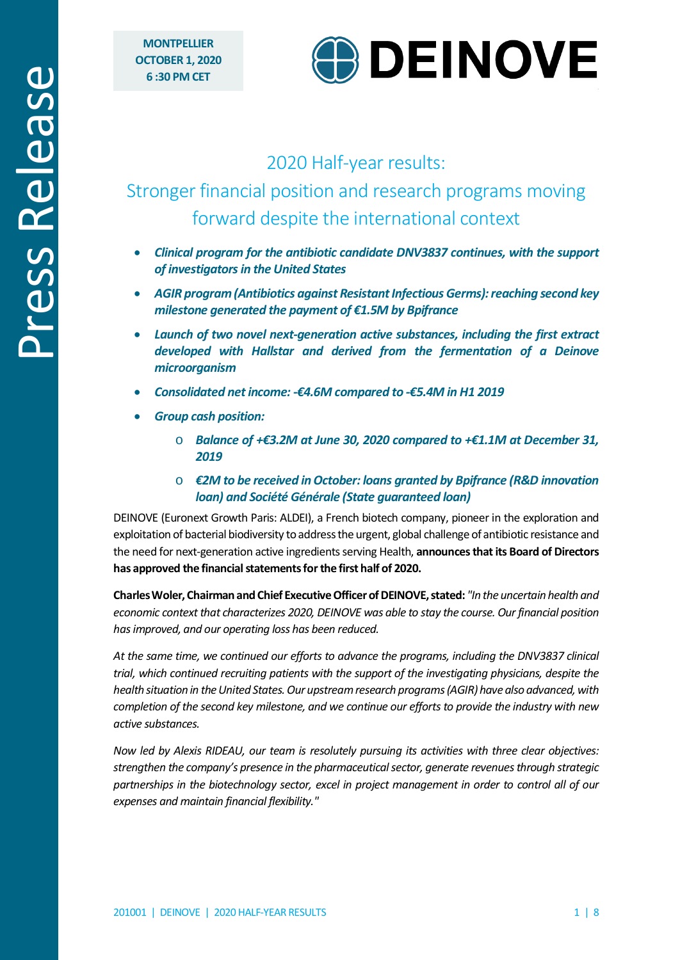

# 2020 Half-year results:

# Stronger financial position and research programs moving forward despite the international context

- *Clinical program for the antibiotic candidate DNV3837 continues, with the support of investigators in the United States*
- *AGIR program (Antibiotics against Resistant Infectious Germs): reaching second key milestone generated the payment of €1.5M by Bpifrance*
- *Launch of two novel next-generation active substances, including the first extract developed with Hallstar and derived from the fermentation of a Deinove microorganism*
- *Consolidated net income: -€4.6M compared to -€5.4M in H1 2019*
- *Group cash position:* 
	- o *Balance of +€3.2M at June 30, 2020 compared to +€1.1M at December 31, 2019*
	- o *€2M to be received in October: loans granted by Bpifrance (R&D innovation loan) and Société Générale (State guaranteed loan)*

DEINOVE (Euronext Growth Paris: ALDEI), a French biotech company, pioneer in the exploration and exploitation of bacterial biodiversity to address the urgent, global challenge of antibiotic resistance and the need for next-generation active ingredients serving Health, **announces that its Board of Directors has approved the financial statements for the first half of 2020.**

**Charles Woler, Chairman and Chief Executive Officer of DEINOVE, stated:** *"In the uncertain health and economic context that characterizes 2020, DEINOVE was able to stay the course. Our financial position has improved, and our operating loss has been reduced.* 

*At the same time, we continued our efforts to advance the programs, including the DNV3837 clinical trial, which continued recruiting patients with the support of the investigating physicians, despite the health situation in the United States. Our upstream research programs(AGIR) have also advanced, with completion of the second key milestone, and we continue our efforts to provide the industry with new active substances.* 

*Now led by Alexis RIDEAU, our team is resolutely pursuing its activities with three clear objectives: strengthen the company's presence in the pharmaceutical sector, generate revenues through strategic partnerships in the biotechnology sector, excel in project management in order to control all of our expenses and maintain financial flexibility."*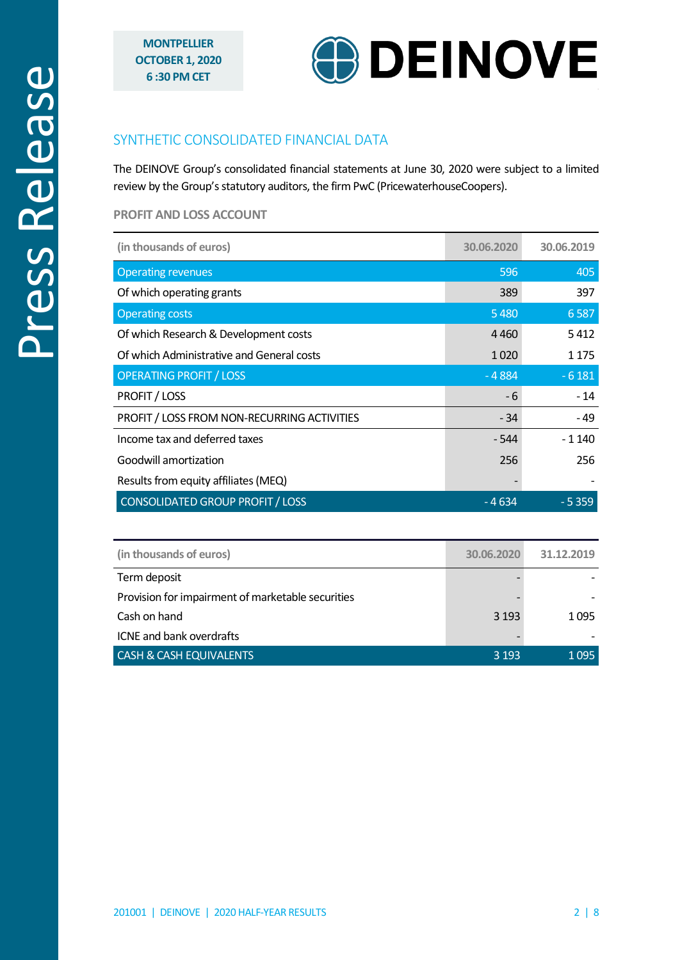

# SYNTHETIC CONSOLIDATED FINANCIAL DATA

The DEINOVE Group's consolidated financial statements at June 30, 2020 were subject to a limited review by the Group's statutory auditors, the firm PwC (PricewaterhouseCoopers).

### **PROFIT AND LOSS ACCOUNT**

| (in thousands of euros)                     | 30.06.2020 | 30.06.2019 |
|---------------------------------------------|------------|------------|
| <b>Operating revenues</b>                   | 596        | 405        |
| Of which operating grants                   | 389        | 397        |
| <b>Operating costs</b>                      | 5480       | 6587       |
| Of which Research & Development costs       | 4460       | 5412       |
| Of which Administrative and General costs   | 1020       | 1 1 7 5    |
| <b>OPERATING PROFIT / LOSS</b>              | $-4884$    | $-6181$    |
| <b>PROFIT / LOSS</b>                        | - 6        | $-14$      |
| PROFIT / LOSS FROM NON-RECURRING ACTIVITIES | - 34       | - 49       |
| Income tax and deferred taxes               | $-544$     | $-1140$    |
| Goodwill amortization                       | 256        | 256        |
| Results from equity affiliates (MEQ)        |            |            |
| <b>CONSOLIDATED GROUP PROFIT / LOSS</b>     | - 4 634    | $-5359$    |

| (in thousands of euros)                           | 30.06.2020 | 31.12.2019 |
|---------------------------------------------------|------------|------------|
| Term deposit                                      |            |            |
| Provision for impairment of marketable securities |            |            |
| Cash on hand                                      | 3 1 9 3    | 1095       |
| ICNE and bank overdrafts                          |            |            |
| <b>CASH &amp; CASH EQUIVALENTS</b>                | 3 1 9 3    | 1095       |
|                                                   |            |            |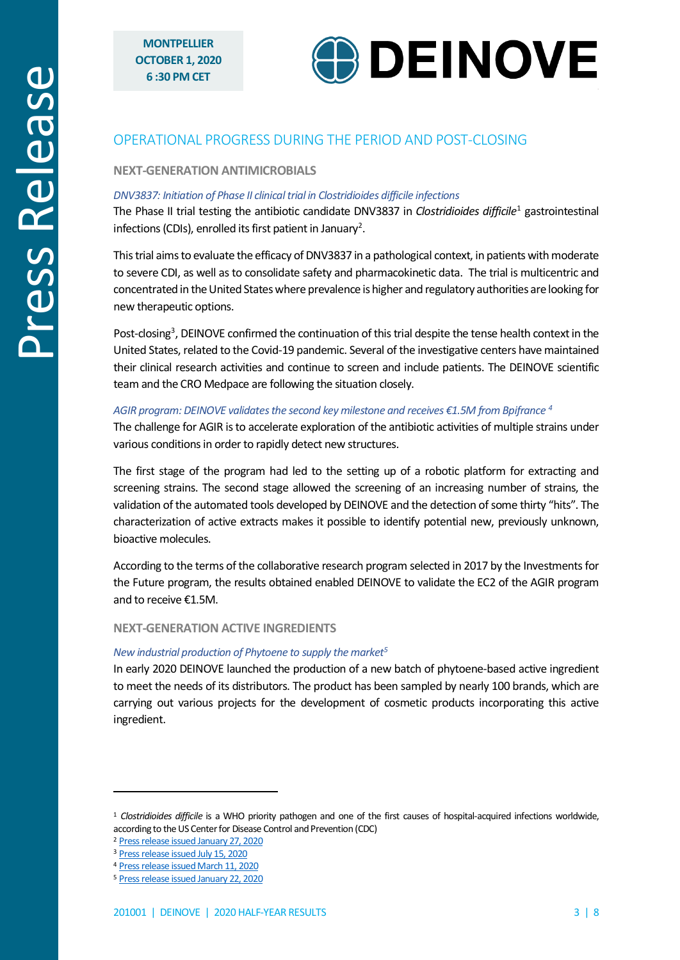

# OPERATIONAL PROGRESS DURING THE PERIOD AND POST-CLOSING

### **NEXT-GENERATION ANTIMICROBIALS**

#### *DNV3837: Initiation of Phase II clinical trial in Clostridioides difficile infections*

The Phase II trial testing the antibiotic candidate DNV3837 in *Clostridioides difficile*[1](#page-2-0) gastrointestinal infections (CDIs), enrolled its first patient in January<sup>[2](#page-2-1)</sup>.

This trial aims to evaluate the efficacy of DNV3837 in a pathological context, in patients with moderate to severe CDI, as well as to consolidate safety and pharmacokinetic data. The trial is multicentric and concentrated in the United States where prevalence is higher and regulatory authorities are looking for new therapeutic options.

Post-closing<sup>[3](#page-2-2)</sup>, DEINOVE confirmed the continuation of this trial despite the tense health context in the United States, related to the Covid-19 pandemic. Several of the investigative centers have maintained their clinical research activities and continue to screen and include patients. The DEINOVE scientific team and the CRO Medpace are following the situation closely.

#### *AGIR program: DEINOVE validates the second key milestone and receives €1.5M from Bpifrance [4](#page-2-3)*

The challenge for AGIR is to accelerate exploration of the antibiotic activities of multiple strains under various conditions in order to rapidly detect new structures.

The first stage of the program had led to the setting up of a robotic platform for extracting and screening strains. The second stage allowed the screening of an increasing number of strains, the validation of the automated tools developed by DEINOVE and the detection of some thirty "hits". The characterization of active extracts makes it possible to identify potential new, previously unknown, bioactive molecules.

According to the terms of the collaborative research program selected in 2017 by the Investments for the Future program, the results obtained enabled DEINOVE to validate the EC2 of the AGIR program and to receive €1.5M.

#### **NEXT-GENERATION ACTIVE INGREDIENTS**

#### *New industrial production of Phytoene to supply the marke[t5](#page-2-4)*

In early 2020 DEINOVE launched the production of a new batch of phytoene-based active ingredient to meet the needs of its distributors. The product has been sampled by nearly 100 brands, which are carrying out various projects for the development of cosmetic products incorporating this active ingredient.

<span id="page-2-0"></span><sup>1</sup> *Clostridioides difficile* is a WHO priority pathogen and one of the first causes of hospital-acquired infections worldwide, according to the US Center for Disease Control and Prevention (CDC)

<span id="page-2-1"></span><sup>2</sup> [Press release issued January 27, 2020](http://www.deinove.com/en/news/all-press-releases/enrolment-first-patient-phase-ii-trial-testing-dnv3837-clostridioides-difficile-infections)

<span id="page-2-2"></span><sup>3</sup> [Press release issued July 15, 2020](http://www.deinove.com/en/news/all-press-releases/dnv3837-antibiotic-candidate-phase-ii-trial-continues-united-states-despite-disrupted-context-due-covid-19-outbreak)

<span id="page-2-3"></span><sup>4</sup> [Press release issued March 11, 2020](https://www.deinove.com/en/news/all-press-releases/deinove-passes-2nd-milestone-agir-program-and-receives-eu15m-bpifrance)

<span id="page-2-4"></span><sup>5</sup> [Press release issued January 22, 2020](http://www.deinove.com/en/news/all-press-releases/new-industrial-scale-production-phyt-n-resistr-supply-market)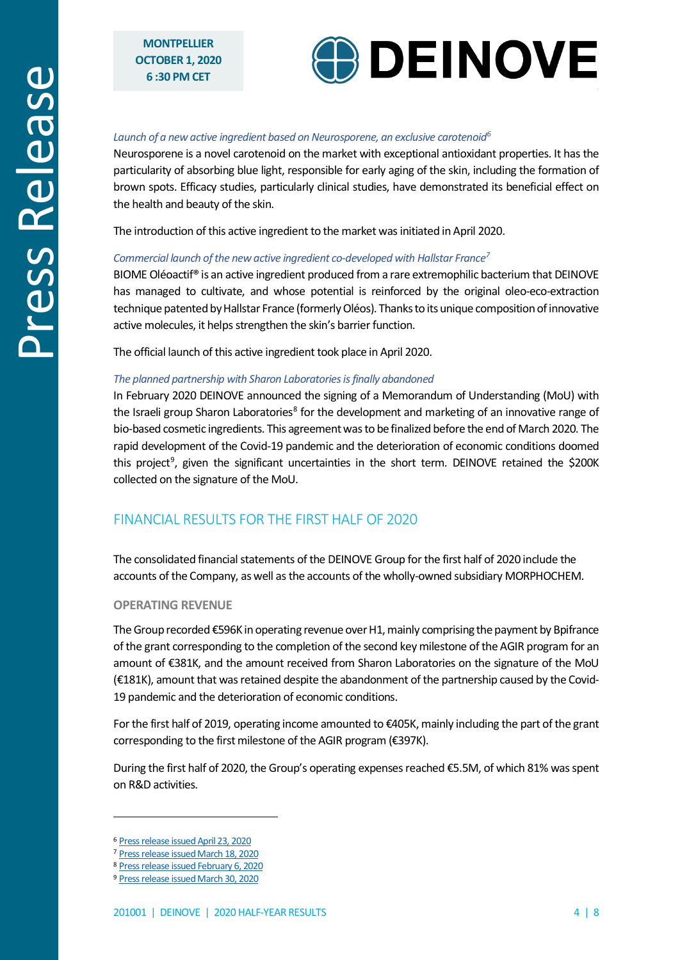

#### *Launch of a new active ingredient based on Neurosporene, an exclusive carotenoi[d6](#page-3-0)*

Neurosporene is a novel carotenoid on the market with exceptional antioxidant properties. It has the particularity of absorbing blue light, responsible for early aging of the skin, including the formation of brown spots. Efficacy studies, particularly clinical studies, have demonstrated its beneficial effect on the health and beauty of the skin.

The introduction of this active ingredient to the market was initiated in April 2020.

#### *Commercial launch of the new active ingredient co-developed with Hallstar France[7](#page-3-1)*

BIOME Oléoactif<sup>®</sup> is an active ingredient produced from a rare extremophilic bacterium that DEINOVE has managed to cultivate, and whose potential is reinforced by the original oleo-eco-extraction technique patented by Hallstar France (formerly Oléos). Thanks to its unique composition ofinnovative active molecules, it helps strengthen the skin's barrier function.

The official launch of this active ingredient took place in April 2020.

#### *The planned partnership with Sharon Laboratories is finally abandoned*

In February 2020 DEINOVE announced the signing of a Memorandum of Understanding (MoU) with the Israeli group Sharon Laboratories<sup>[8](#page-3-2)</sup> for the development and marketing of an innovative range of bio-based cosmetic ingredients. This agreement was to be finalized before the end of March 2020. The rapid development of the Covid-19 pandemic and the deterioration of economic conditions doomed this project<sup>9</sup>, given the significant uncertainties in the short term. DEINOVE retained the \$200K collected on the signature of the MoU.

### FINANCIAL RESULTS FOR THE FIRST HALF OF 2020

The consolidated financial statements of the DEINOVE Group for the first half of 2020 include the accounts of the Company, as well as the accounts of the wholly-owned subsidiary MORPHOCHEM.

#### **OPERATING REVENUE**

The Group recorded €596K in operating revenue over H1, mainly comprising the payment by Bpifrance of the grant corresponding to the completion of the second key milestone of the AGIR program for an amount of €381K, and the amount received from Sharon Laboratories on the signature of the MoU (€181K), amount that was retained despite the abandonment of the partnership caused by the Covid-19 pandemic and the deterioration of economic conditions.

For the first half of 2019, operating income amounted to €405K, mainly including the part of the grant corresponding to the first milestone of the AGIR program (€397K).

During the first half of 2020, the Group's operating expenses reached €5.5M, of which 81% was spent on R&D activities.

<span id="page-3-0"></span><sup>6</sup> [Press release issued April 23, 2020](http://www.deinove.com/en/news/all-press-releases/official-launch-luminityr-deinoves-new-cosmetic-active-ingredient-radiant-complexion)

<span id="page-3-1"></span><sup>7</sup> [Press release issued March 18, 2020](http://www.deinove.com/en/news/all-press-releases/commercial-launch-biome-oleoactifr-new-cosmetic-active-co-developed-deinove-and-hallstar-france)

<span id="page-3-2"></span><sup>8</sup> [Press release issued February 6, 2020](https://www.deinove.com/en/news/all-press-releases/sharon-laboratories-capitalizes-deinove-sustain-its-development-activities)

<span id="page-3-3"></span><sup>9</sup> [Press release issued March 30, 2020](https://www.deinove.com/en/news/all-press-releases/climate-economic-and-industrial-uncertainty-collaboration-agreement-between-sharon-laboratories-and-deinove-will-not-be-signed)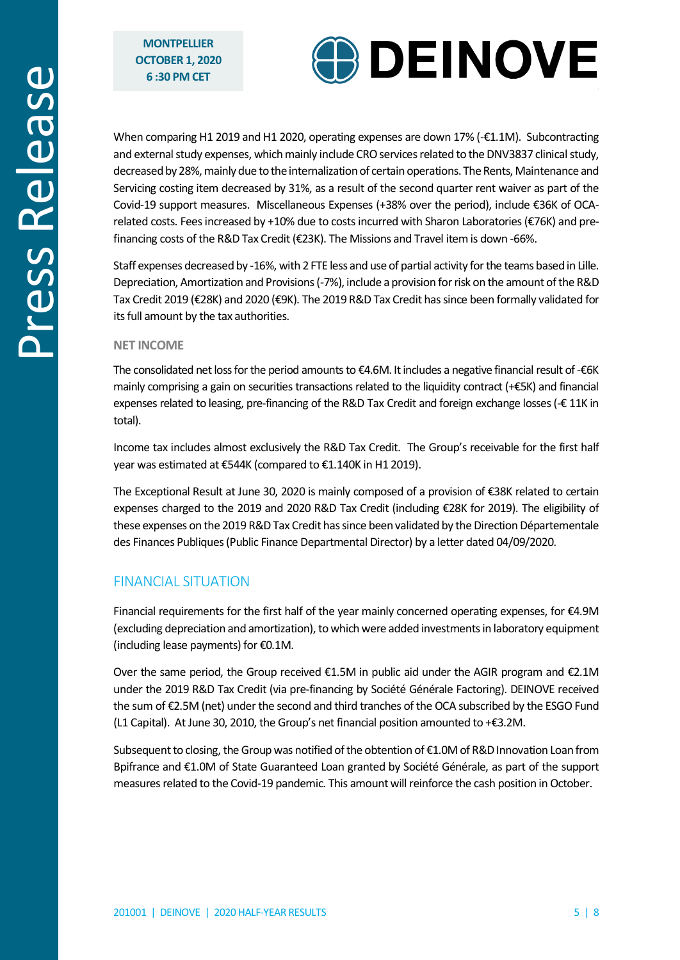

When comparing H1 2019 and H1 2020, operating expenses are down 17% (-€1.1M). Subcontracting and external study expenses, which mainly include CRO services related to the DNV3837 clinical study, decreased by 28%, mainly due to the internalization of certain operations. The Rents, Maintenance and Servicing costing item decreased by 31%, as a result of the second quarter rent waiver as part of the Covid-19 support measures. Miscellaneous Expenses (+38% over the period), include €36K of OCArelated costs. Fees increased by +10% due to costs incurred with Sharon Laboratories (€76K) and prefinancing costs of the R&D Tax Credit (€23K). The Missions and Travel item is down -66%.

Staff expenses decreasedby -16%, with 2 FTE less and use of partial activity for the teams based in Lille. Depreciation, Amortization and Provisions (-7%), include a provision for risk on the amount of the R&D Tax Credit 2019 (€28K) and 2020 (€9K). The 2019 R&D Tax Credit has since been formally validated for its full amount by the tax authorities.

#### **NET INCOME**

The consolidated net loss for the period amounts to €4.6M. It includes a negative financial result of -€6K mainly comprising a gain on securities transactions related to the liquidity contract (+€5K) and financial expenses related to leasing, pre-financing of the R&D Tax Credit and foreign exchange losses ( $\text{\textsterling} 11$ K in total).

Income tax includes almost exclusively the R&D Tax Credit. The Group's receivable for the first half year was estimated at €544K (compared to €1.140K in H1 2019).

The Exceptional Result at June 30, 2020 is mainly composed of a provision of €38K related to certain expenses charged to the 2019 and 2020 R&D Tax Credit (including €28K for 2019). The eligibility of these expenses on the 2019 R&D Tax Credit has since been validated by the Direction Départementale des Finances Publiques (Public Finance Departmental Director) by a letter dated 04/09/2020.

### FINANCIAL SITUATION

Financial requirements for the first half of the year mainly concerned operating expenses, for €4.9M (excluding depreciation and amortization), to which were added investments in laboratory equipment (including lease payments) for €0.1M.

Over the same period, the Group received  $\epsilon$ 1.5M in public aid under the AGIR program and  $\epsilon$ 2.1M under the 2019 R&D Tax Credit (via pre-financing by Société Générale Factoring). DEINOVE received the sum of €2.5M (net) under the second and third tranches of the OCA subscribed by the ESGO Fund (L1 Capital). At June 30, 2010, the Group's net financial position amounted to +€3.2M.

Subsequent to closing, the Group was notified of the obtention of €1.0M of R&D Innovation Loan from Bpifrance and €1.0M of State Guaranteed Loan granted by Société Générale, as part of the support measures related to the Covid-19 pandemic. This amount will reinforce the cash position in October.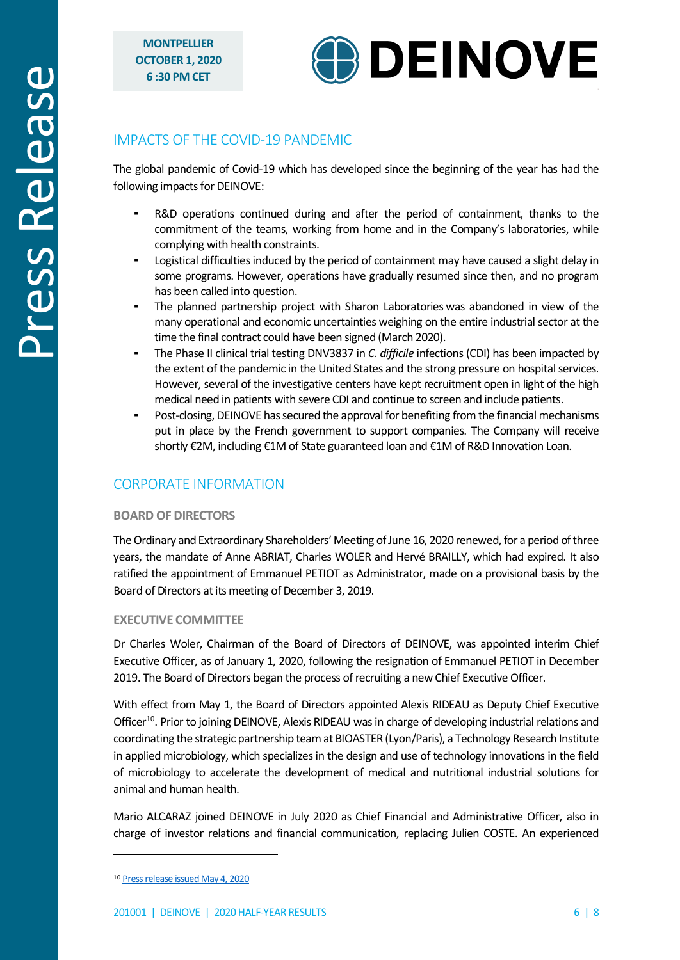

# IMPACTS OF THE COVID-19 PANDEMIC

The global pandemic of Covid-19 which has developed since the beginning of the year has had the following impacts for DEINOVE:

- R&D operations continued during and after the period of containment, thanks to the commitment of the teams, working from home and in the Company's laboratories, while complying with health constraints.
- Logistical difficulties induced by the period of containment may have caused a slight delay in some programs. However, operations have gradually resumed since then, and no program has been called into question.
- The planned partnership project with Sharon Laboratories was abandoned in view of the many operational and economic uncertainties weighing on the entire industrial sector at the time the final contract could have been signed (March 2020).
- The Phase II clinical trial testing DNV3837 in *C. difficile* infections (CDI) has been impacted by the extent of the pandemic in the United States and the strong pressure on hospital services. However, several of the investigative centers have kept recruitment open in light of the high medical need in patients with severe CDI and continue to screen and include patients.
- Post-closing, DEINOVE has secured the approval for benefiting from the financial mechanisms put in place by the French government to support companies. The Company will receive shortly €2M, including €1M of State guaranteed loan and €1M of R&D Innovation Loan.

# CORPORATE INFORMATION

### **BOARD OF DIRECTORS**

The Ordinary and Extraordinary Shareholders' Meeting of June 16, 2020 renewed, for a period of three years, the mandate of Anne ABRIAT, Charles WOLER and Hervé BRAILLY, which had expired. It also ratified the appointment of Emmanuel PETIOT as Administrator, made on a provisional basis by the Board of Directors at its meeting of December 3, 2019.

### **EXECUTIVE COMMITTEE**

Dr Charles Woler, Chairman of the Board of Directors of DEINOVE, was appointed interim Chief Executive Officer, as of January 1, 2020, following the resignation of Emmanuel PETIOT in December 2019. The Board of Directors began the process of recruiting a new Chief Executive Officer.

With effect from May 1, the Board of Directors appointed Alexis RIDEAU as Deputy Chief Executive Officer<sup>10</sup>. Prior to joining DEINOVE, Alexis RIDEAU was in charge of developing industrial relations and coordinating the strategic partnership team at BIOASTER (Lyon/Paris), a Technology Research Institute in applied microbiology, which specializes in the design and use of technology innovations in the field of microbiology to accelerate the development of medical and nutritional industrial solutions for animal and human health.

Mario ALCARAZ joined DEINOVE in July 2020 as Chief Financial and Administrative Officer, also in charge of investor relations and financial communication, replacing Julien COSTE. An experienced

<span id="page-5-0"></span><sup>10</sup> [Press release issued May 4, 2020](http://www.deinove.com/en/news/all-press-releases/alexis-rideau-appointed-deputy-chief-executive-officer-deinove-ambition-strengthen-companys-strategy-innovation-and-partnerships)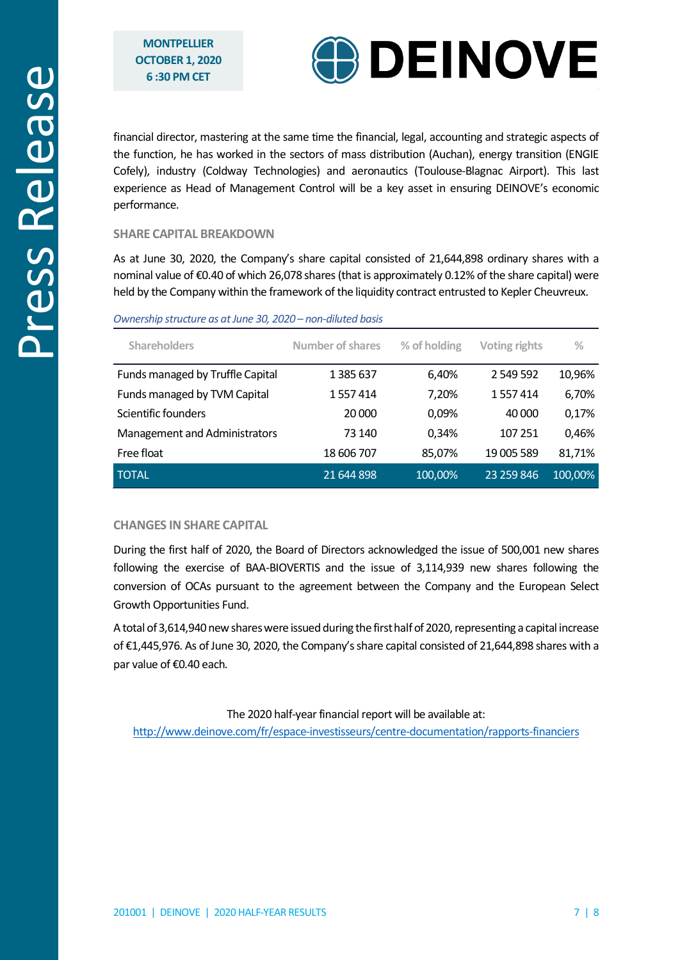

financial director, mastering at the same time the financial, legal, accounting and strategic aspects of the function, he has worked in the sectors of mass distribution (Auchan), energy transition (ENGIE Cofely), industry (Coldway Technologies) and aeronautics (Toulouse-Blagnac Airport). This last experience as Head of Management Control will be a key asset in ensuring DEINOVE's economic performance.

### **SHARE CAPITAL BREAKDOWN**

As at June 30, 2020, the Company's share capital consisted of 21,644,898 ordinary shares with a nominal value of €0.40 of which 26,078 shares (that is approximately 0.12% of the share capital) were held by the Company within the framework of the liquidity contract entrusted to Kepler Cheuvreux.

| <b>Shareholders</b>              | <b>Number of shares</b> | % of holding | <b>Voting rights</b> | $\frac{0}{0}$ |
|----------------------------------|-------------------------|--------------|----------------------|---------------|
| Funds managed by Truffle Capital | 1 385 637               | 6,40%        | 2 549 592            | 10,96%        |
| Funds managed by TVM Capital     | 1 557 414               | 7,20%        | 1557414              | 6,70%         |
| Scientific founders              | 20 000                  | 0,09%        | 40 000               | 0,17%         |
| Management and Administrators    | 73 140                  | 0,34%        | 107 251              | 0,46%         |
| Free float                       | 18 606 707              | 85,07%       | 19 005 589           | 81,71%        |
| <b>TOTAL</b>                     | 21 644 898              | 100,00%      | 23 259 846           | 100,00%       |

#### *Ownership structure as atJune 30, 2020 – non-diluted basis*

#### **CHANGES IN SHARE CAPITAL**

During the first half of 2020, the Board of Directors acknowledged the issue of 500,001 new shares following the exercise of BAA-BIOVERTIS and the issue of 3,114,939 new shares following the conversion of OCAs pursuant to the agreement between the Company and the European Select Growth Opportunities Fund.

Atotal of 3,614,940 new shares were issued during the first half of 2020, representing a capital increase of €1,445,976. As ofJune 30, 2020, the Company's share capital consisted of 21,644,898 shares with a par value of €0.40 each.

The 2020 half-year financial report will be available at:

http://www.deinove.com/fr/espace-investisseurs/centre-documentation/rapports-financiers